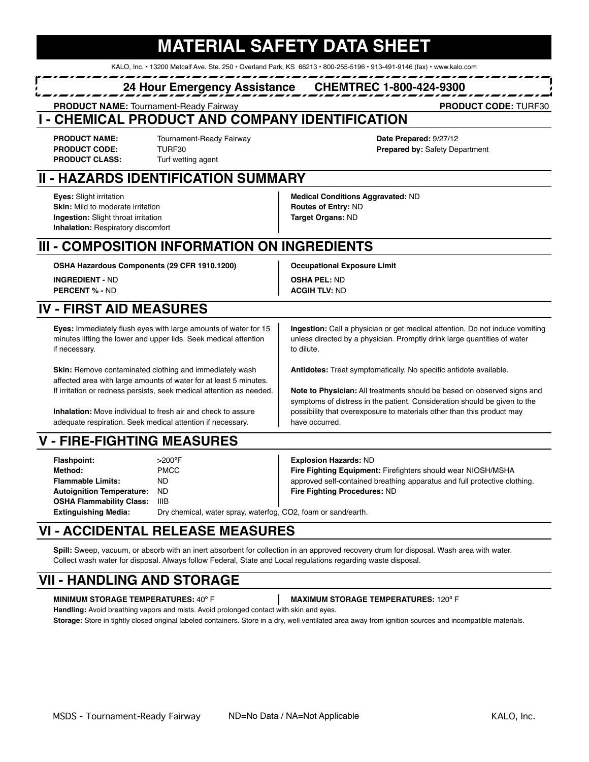# **MATERIAL SAFETY DATA SHEET**

KALO, Inc. • 13200 Metcalf Ave. Ste. 250 • Overland Park, KS 66213 • 800-255-5196 • 913-491-9146 (fax) • www.kalo.com

### **24 Hour Emergency Assistance CHEMTREC 1-800-424-9300**

**PRODUCT NAME:** Tournament-Ready Fairway **PRODUCT CODE:** TURF30

### **- CHEMICAL PRODUCT AND COMPANY IDENTIFICATION**

**PRODUCT CLASS:** Turf wetting agent

**PRODUCT NAME:** Tournament-Ready Fairway **Date Prepared:** 9/27/12 **PRODUCT CODE:** TURF30 **Prepared by:** Safety Department

# **II - HAZARDS IDENTIFICATION SUMMARY**

**Skin:** Mild to moderate irritation **Routes of Entry:** ND **Ingestion:** Slight throat irritation **Target Organs:** ND **Inhalation:** Respiratory discomfort

**Eyes:** Slight irritation **Medical Conditions Aggravated:** ND

# **III - COMPOSITION INFORMATION ON INGREDIENTS**

**OSHA Hazardous Components (29 CFR 1910.1200) Occupational Exposure Limit INGREDIENT -** ND **OSHA PEL:** ND **PERCENT % - ND <b>ACGIH TLV:** ND

# **IV - FIRST AID MEASURES**

**Eyes:** Immediately flush eyes with large amounts of water for 15 **Ingestion:** Call a physician or get medical attention. Do not induce vomiting minutes lifting the lower and upper lids. Seek medical attention unless directed by a physician. Promptly drink large quantities of water if necessary. **the contract of the contract of the contract of the contract of the contract of the contract of the contract of the contract of the contract of the contract of the contract of the contract of the contract of** 

**Skin:** Remove contaminated clothing and immediately wash **Antidotes:** Treat symptomatically. No specific antidote available. affected area with large amounts of water for at least 5 minutes.

adequate respiration. Seek medical attention if necessary. have occurred.

# **V - FIRE-FIGHTING MEASURES**

| Flashpoint:                     | $>200^{\circ}$ F                                              | <b>Explosion Hazards: ND</b>                                              |
|---------------------------------|---------------------------------------------------------------|---------------------------------------------------------------------------|
| Method:                         | <b>PMCC</b>                                                   | Fire Fighting Equipment: Firefighters should wear NIOSH/MSHA              |
| <b>Flammable Limits:</b>        | ND.                                                           | approved self-contained breathing apparatus and full protective clothing. |
| Autoignition Temperature: ND    |                                                               | Fire Fighting Procedures: ND                                              |
| <b>OSHA Flammability Class:</b> | IIIB                                                          |                                                                           |
| <b>Extinguishing Media:</b>     | Dry chemical, water spray, waterfog, CO2, foam or sand/earth. |                                                                           |

# **VI - ACCIDENTAL RELEASE MEASURES**

**Spill:** Sweep, vacuum, or absorb with an inert absorbent for collection in an approved recovery drum for disposal. Wash area with water. Collect wash water for disposal. Always follow Federal, State and Local regulations regarding waste disposal.

# **VII - HANDLING AND STORAGE**

**MINIMUM STORAGE TEMPERATURES:** 40º F **MAXIMUM STORAGE TEMPERATURES:** 120º F

**Handling:** Avoid breathing vapors and mists. Avoid prolonged contact with skin and eyes. Storage: Store in tightly closed original labeled containers. Store in a dry, well ventilated area away from ignition sources and incompatible materials.

If irritation or redness persists, seek medical attention as needed. **Note to Physician:** All treatments should be based on observed signs and symptoms of distress in the patient. Consideration should be given to the **Inhalation:** Move individual to fresh air and check to assure possibility that overexposure to materials other than this product may